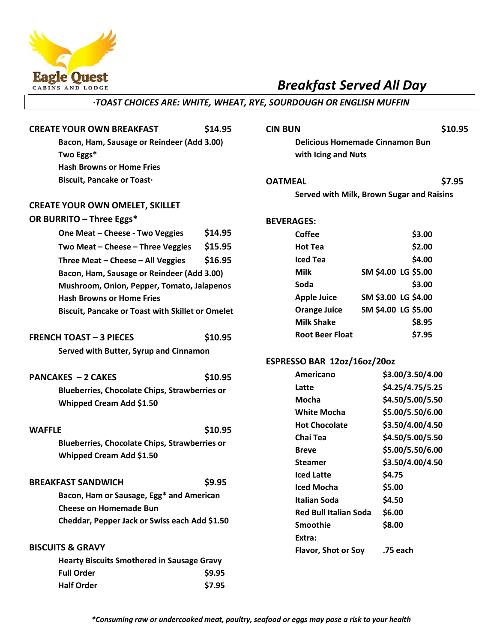

# *Breakfast Served All Day*

### *·TOAST CHOICES ARE: WHITE, WHEAT, RYE, SOURDOUGH OR ENGLISH MUFFIN*

| <b>CREATE YOUR OWN BREAKFAST</b>           | \$14.95 |  |  |  |
|--------------------------------------------|---------|--|--|--|
| Bacon, Ham, Sausage or Reindeer (Add 3.00) |         |  |  |  |
| Two Eggs*                                  |         |  |  |  |
| <b>Hash Browns or Home Fries</b>           |         |  |  |  |
| Biscuit, Pancake or Toast.                 |         |  |  |  |
|                                            |         |  |  |  |
| <b>CREATE YOUR OWN OMELET, SKILLET</b>     |         |  |  |  |
| OR BURRITO - Three Eggs*                   |         |  |  |  |
| One Meat – Cheese - Two Veggies            | \$14.95 |  |  |  |
| Two Meat - Cheese - Three Veggies          | \$15.95 |  |  |  |
| Three Meat - Cheese - All Veggies          | \$16.95 |  |  |  |
| Bacon, Ham, Sausage or Reindeer (Add 3.00) |         |  |  |  |

**Mushroom, Onion, Pepper, Tomato, Jalapenos Hash Browns or Home Fries Biscuit, Pancake or Toast with Skillet or Omelet**

# **FRENCH TOAST – 3 PIECES \$10.95 Served with Butter, Syrup and Cinnamon**

# **PANCAKES – 2 CAKES \$10.95 Blueberries, Chocolate Chips, Strawberries or Whipped Cream Add \$1.50**

# **WAFFLE \$10.95 Blueberries, Chocolate Chips, Strawberries or Whipped Cream Add \$1.50**

# **BREAKFAST SANDWICH \$9.95**

**Bacon, Ham or Sausage, Egg\* and American Cheese on Homemade Bun Cheddar, Pepper Jack or Swiss each Add \$1.50**

# **BISCUITS & GRAVY**

| <b>Hearty Biscuits Smothered in Sausage Gravy</b> |        |
|---------------------------------------------------|--------|
| <b>Full Order</b>                                 | \$9.95 |
| <b>Half Order</b>                                 | \$7.95 |

#### **CIN BUN \$10.95**

**Delicious Homemade Cinnamon Bun with Icing and Nuts** 

## **OATMEAL \$7.95**

**Served with Milk, Brown Sugar and Raisins**

#### **BEVERAGES:**

| Coffee                 |                     | \$3.00 |
|------------------------|---------------------|--------|
| Hot Tea                |                     | \$2.00 |
| Iced Tea               |                     | \$4.00 |
| Milk                   | SM \$4.00 LG \$5.00 |        |
| Soda                   |                     | \$3.00 |
| <b>Apple Juice</b>     | SM \$3.00 LG \$4.00 |        |
| <b>Orange Juice</b>    | SM \$4.00 LG \$5.00 |        |
| <b>Milk Shake</b>      |                     | \$8.95 |
| <b>Root Beer Float</b> |                     | \$7.95 |

#### **ESPRESSO BAR 12oz/16oz/20oz**

| Americano                    | \$3.00/3.50/4.00 |
|------------------------------|------------------|
| Latte                        | \$4.25/4.75/5.25 |
| Mocha                        | \$4.50/5.00/5.50 |
| <b>White Mocha</b>           | \$5.00/5.50/6.00 |
| <b>Hot Chocolate</b>         | \$3.50/4.00/4.50 |
| Chai Tea                     | \$4.50/5.00/5.50 |
| <b>Breve</b>                 | \$5.00/5.50/6.00 |
| Steamer                      | \$3.50/4.00/4.50 |
| <b>Iced Latte</b>            | \$4.75           |
| Iced Mocha                   | \$5.00           |
| Italian Soda                 | \$4.50           |
| <b>Red Bull Italian Soda</b> | \$6.00           |
| Smoothie                     | \$8.00           |
| Extra:                       |                  |
| <b>Flavor, Shot or Soy</b>   | .75 each         |